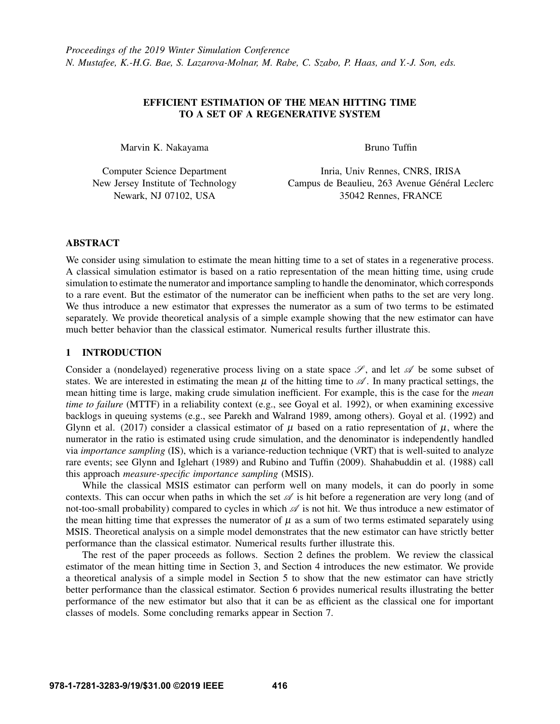# EFFICIENT ESTIMATION OF THE MEAN HITTING TIME TO A SET OF A REGENERATIVE SYSTEM

Marvin K. Nakayama

Bruno Tuffin

Computer Science Department New Jersey Institute of Technology Newark, NJ 07102, USA

Inria, Univ Rennes, CNRS, IRISA Campus de Beaulieu, 263 Avenue Général Leclerc 35042 Rennes, FRANCE

## ABSTRACT

We consider using simulation to estimate the mean hitting time to a set of states in a regenerative process. A classical simulation estimator is based on a ratio representation of the mean hitting time, using crude simulation to estimate the numerator and importance sampling to handle the denominator, which corresponds to a rare event. But the estimator of the numerator can be inefficient when paths to the set are very long. We thus introduce a new estimator that expresses the numerator as a sum of two terms to be estimated separately. We provide theoretical analysis of a simple example showing that the new estimator can have much better behavior than the classical estimator. Numerical results further illustrate this.

## 1 INTRODUCTION

Consider a (nondelayed) regenerative process living on a state space  $\mathscr{S}$ , and let  $\mathscr{A}$  be some subset of states. We are interested in estimating the mean  $\mu$  of the hitting time to  $\mathscr A$ . In many practical settings, the mean hitting time is large, making crude simulation inefficient. For example, this is the case for the *mean time to failure* (MTTF) in a reliability context (e.g., see [Goyal et al. 1992\)](#page-11-0), or when examining excessive backlogs in queuing systems (e.g., see [Parekh and Walrand 1989,](#page-11-1) among others). [Goyal et al. \(1992\)](#page-11-0) and [Glynn et al. \(2017\)](#page-11-2) consider a classical estimator of  $\mu$  based on a ratio representation of  $\mu$ , where the numerator in the ratio is estimated using crude simulation, and the denominator is independently handled via *importance sampling* (IS), which is a variance-reduction technique (VRT) that is well-suited to analyze rare events; see [Glynn and Iglehart \(1989\)](#page-11-3) and [Rubino and Tuffin \(2009\).](#page-11-4) [Shahabuddin et al. \(1988\)](#page-11-5) call this approach *measure-specific importance sampling* (MSIS).

While the classical MSIS estimator can perform well on many models, it can do poorly in some contexts. This can occur when paths in which the set  $\mathscr A$  is hit before a regeneration are very long (and of not-too-small probability) compared to cycles in which  $\mathscr A$  is not hit. We thus introduce a new estimator of the mean hitting time that expresses the numerator of  $\mu$  as a sum of two terms estimated separately using MSIS. Theoretical analysis on a simple model demonstrates that the new estimator can have strictly better performance than the classical estimator. Numerical results further illustrate this.

The rest of the paper proceeds as follows. Section [2](#page-1-0) defines the problem. We review the classical estimator of the mean hitting time in Section [3,](#page-1-1) and Section [4](#page-3-0) introduces the new estimator. We provide a theoretical analysis of a simple model in Section [5](#page-5-0) to show that the new estimator can have strictly better performance than the classical estimator. Section [6](#page-8-0) provides numerical results illustrating the better performance of the new estimator but also that it can be as efficient as the classical one for important classes of models. Some concluding remarks appear in Section [7.](#page-10-0)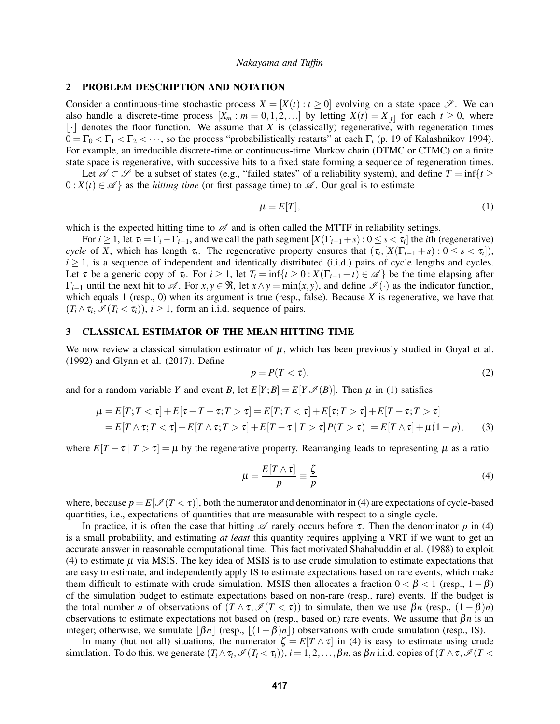## <span id="page-1-0"></span>2 PROBLEM DESCRIPTION AND NOTATION

Consider a continuous-time stochastic process  $X = [X(t) : t \ge 0]$  evolving on a state space  $\mathscr{S}$ . We can also handle a discrete-time process  $[X_m : m = 0, 1, 2, \ldots]$  by letting  $X(t) = X_{|t|}$  for each  $t \ge 0$ , where  $|\cdot|$  denotes the floor function. We assume that *X* is (classically) regenerative, with regeneration times  $0 = \Gamma_0 < \Gamma_1 < \Gamma_2 < \cdots$ , so the process "probabilistically restarts" at each  $\Gamma_i$  (p. 19 of [Kalashnikov 1994\)](#page-11-6). For example, an irreducible discrete-time or continuous-time Markov chain (DTMC or CTMC) on a finite state space is regenerative, with successive hits to a fixed state forming a sequence of regeneration times.

Let  $\mathscr{A} \subset \mathscr{S}$  be a subset of states (e.g., "failed states" of a reliability system), and define  $T = \inf\{t \geq 0\}$  $0: X(t) \in \mathscr{A}$  as the *hitting time* (or first passage time) to  $\mathscr{A}$ . Our goal is to estimate

<span id="page-1-2"></span>
$$
\mu = E[T],\tag{1}
$$

which is the expected hitting time to  $\mathscr A$  and is often called the MTTF in reliability settings.

For  $i \geq 1$ , let  $\tau_i = \Gamma_i - \Gamma_{i-1}$ , and we call the path segment  $[X(\Gamma_{i-1} + s) : 0 \leq s < \tau_i]$  the *i*th (regenerative) *cycle* of *X*, which has length  $\tau_i$ . The regenerative property ensures that  $(\tau_i, [X(\Gamma_{i-1} + s) : 0 \le s < \tau_i]),$  $i \ge 1$ , is a sequence of independent and identically distributed (i.i.d.) pairs of cycle lengths and cycles. Let  $\tau$  be a generic copy of  $\tau_i$ . For  $i \geq 1$ , let  $T_i = \inf\{t \geq 0 : X(\Gamma_{i-1} + t) \in \mathcal{A}\}\)$  be the time elapsing after  $Γ_{i-1}$  until the next hit to  $\mathscr A$ . For  $x, y \in \Re$ , let  $x \land y = \min(x, y)$ , and define  $\mathscr I(\cdot)$  as the indicator function, which equals 1 (resp., 0) when its argument is true (resp., false). Because *X* is regenerative, we have that  $(T_i \wedge \tau_i, \mathcal{I}(T_i < \tau_i)), i \geq 1$ , form an i.i.d. sequence of pairs.

## <span id="page-1-1"></span>3 CLASSICAL ESTIMATOR OF THE MEAN HITTING TIME

We now review a classical simulation estimator of  $\mu$ , which has been previously studied in [Goyal et al.](#page-11-0) [\(1992\)](#page-11-0) and [Glynn et al. \(2017\).](#page-11-2) Define

<span id="page-1-5"></span><span id="page-1-4"></span>
$$
p = P(T < \tau),\tag{2}
$$

and for a random variable *Y* and event *B*, let  $E[Y;B] = E[Y \mathcal{I}(B)]$ . Then  $\mu$  in [\(1\)](#page-1-2) satisfies

$$
\mu = E[T; T < \tau] + E[\tau + T - \tau; T > \tau] = E[T; T < \tau] + E[\tau; T > \tau] + E[T - \tau; T > \tau]
$$
\n
$$
= E[T \wedge \tau; T < \tau] + E[T \wedge \tau; T > \tau] + E[T - \tau \mid T > \tau]P(T > \tau) = E[T \wedge \tau] + \mu(1 - p), \tag{3}
$$

where  $E[T - \tau | T > \tau] = \mu$  by the regenerative property. Rearranging leads to representing  $\mu$  as a ratio

<span id="page-1-3"></span>
$$
\mu = \frac{E[T \wedge \tau]}{p} \equiv \frac{\zeta}{p} \tag{4}
$$

where, because  $p = E[\mathcal{I}(T < \tau)]$ , both the numerator and denominator in [\(4\)](#page-1-3) are expectations of cycle-based quantities, i.e., expectations of quantities that are measurable with respect to a single cycle.

In practice, it is often the case that hitting  $\mathscr A$  rarely occurs before  $\tau$ . Then the denominator p in [\(4\)](#page-1-3) is a small probability, and estimating *at least* this quantity requires applying a VRT if we want to get an accurate answer in reasonable computational time. This fact motivated [Shahabuddin et al. \(1988\)](#page-11-5) to exploit [\(4\)](#page-1-3) to estimate  $\mu$  via MSIS. The key idea of MSIS is to use crude simulation to estimate expectations that are easy to estimate, and independently apply IS to estimate expectations based on rare events, which make them difficult to estimate with crude simulation. MSIS then allocates a fraction  $0 < \beta < 1$  (resp.,  $1-\beta$ ) of the simulation budget to estimate expectations based on non-rare (resp., rare) events. If the budget is the total number *n* of observations of  $(T \wedge \tau, \mathcal{I}(T \leq \tau))$  to simulate, then we use  $\beta n$  (resp.,  $(1 - \beta)n$ ) observations to estimate expectations not based on (resp., based on) rare events. We assume that β*n* is an integer; otherwise, we simulate  $\left|\beta n\right|$  (resp.,  $\left|\left(1-\beta\right)n\right|$ ) observations with crude simulation (resp., IS).

In many (but not all) situations, the numerator  $\zeta = E[T \wedge \tau]$  in [\(4\)](#page-1-3) is easy to estimate using crude simulation. To do this, we generate  $(T_i \wedge \tau_i$ ,  $\mathscr{I}(T_i < \tau_i)$ ,  $i = 1, 2, \ldots, \beta n$ , as  $\beta n$  i.i.d. copies of  $(T \wedge \tau, \mathscr{I}(T <$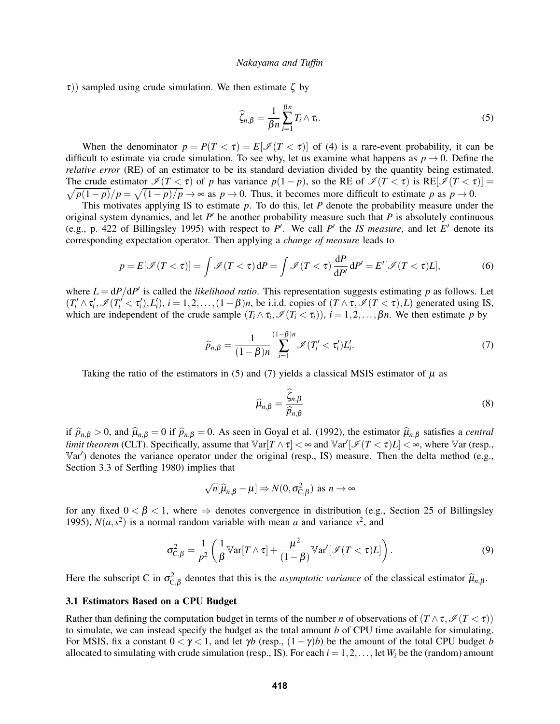$\tau$ )) sampled using crude simulation. We then estimate  $\zeta$  by

<span id="page-2-0"></span>
$$
\widehat{\zeta}_{n,\beta} = \frac{1}{\beta n} \sum_{i=1}^{\beta n} T_i \wedge \tau_i.
$$
\n(5)

When the denominator  $p = P(T < \tau) = E[\mathcal{I}(T < \tau)]$  of [\(4\)](#page-1-3) is a rare-event probability, it can be difficult to estimate via crude simulation. To see why, let us examine what happens as  $p \rightarrow 0$ . Define the *relative error* (RE) of an estimator to be its standard deviation divided by the quantity being estimated. The crude estimator  $\mathcal{I}(T < \tau)$  of *p* has variance  $p(1-p)$ , so the RE of  $\mathcal{I}(T < \tau)$  is RE[ $\mathcal{I}(T < \tau)$ ] =  $\sqrt{p(1-p)}/p = \sqrt{(1-p)/p} \rightarrow \infty$  as  $p \rightarrow 0$ . Thus, it becomes more difficult to estimate p as  $p \rightarrow 0$ .

This motivates applying IS to estimate *p*. To do this, let *P* denote the probability measure under the original system dynamics, and let  $P'$  be another probability measure such that  $P$  is absolutely continuous (e.g., p. 422 of [Billingsley 1995\)](#page-11-7) with respect to  $P'$ . We call  $P'$  the *IS measure*, and let  $E'$  denote its corresponding expectation operator. Then applying a *change of measure* leads to

<span id="page-2-2"></span>
$$
p = E[\mathcal{I}(T < \tau)] = \int \mathcal{I}(T < \tau) \, \mathrm{d}P = \int \mathcal{I}(T < \tau) \, \frac{\mathrm{d}P}{\mathrm{d}P'} \, \mathrm{d}P' = E'[\mathcal{I}(T < \tau)L],\tag{6}
$$

where  $L = dP/dP'$  is called the *likelihood ratio*. This representation suggests estimating *p* as follows. Let  $(T'_i \wedge \tau'_i, \mathcal{I}(T'_i < \tau'_i), L'_i), i = 1, 2, \ldots, (1 - \beta)n$ , be i.i.d. copies of  $(T \wedge \tau, \mathcal{I}(T < \tau), L)$  generated using IS, which are independent of the crude sample  $(T_i \wedge \tau_i, \mathcal{I}(T_i \langle \tau_i \rangle), i = 1, 2, \ldots, \beta n$ . We then estimate *p* by

<span id="page-2-1"></span>
$$
\widehat{p}_{n,\beta} = \frac{1}{(1-\beta)n} \sum_{i=1}^{(1-\beta)n} \mathscr{I}(T_i' < \tau_i')L_i'.\tag{7}
$$

Taking the ratio of the estimators in [\(5\)](#page-2-0) and [\(7\)](#page-2-1) yields a classical MSIS estimator of  $\mu$  as

<span id="page-2-4"></span>
$$
\widehat{\mu}_{n,\beta} = \frac{\widehat{\zeta}_{n,\beta}}{\widehat{p}_{n,\beta}}
$$
\n(8)

if  $\hat{p}_{n,\beta} > 0$ , and  $\hat{\mu}_{n,\beta} = 0$  if  $\hat{p}_{n,\beta} = 0$ . As seen in [Goyal et al. \(1992\),](#page-11-0) the estimator  $\hat{\mu}_{n,\beta}$  satisfies a *central limit theorem* (CLT). Specifically, assume that  $\text{Var}[T \wedge \tau] < \infty$  and  $\text{Var}'[\mathcal{I}(T < \tau)L] < \infty$ , where  $\text{Var}$  (resp., Var') denotes the variance operator under the original (resp., IS) measure. Then the delta method (e.g., Section 3.3 of [Serfling 1980\)](#page-11-8) implies that

$$
\sqrt{n}[\widehat{\mu}_{n,\beta} - \mu] \Rightarrow N(0, \sigma_{C,\beta}^2)
$$
 as  $n \to \infty$ 

for any fixed  $0 < \beta < 1$ , where  $\Rightarrow$  denotes convergence in distribution (e.g., Section 25 of [Billingsley](#page-11-7) [1995\)](#page-11-7),  $N(a, s^2)$  is a normal random variable with mean *a* and variance  $s^2$ , and

<span id="page-2-5"></span>
$$
\sigma_{\mathcal{C},\beta}^2 = \frac{1}{p^2} \left( \frac{1}{\beta} \mathbb{V}ar[T \wedge \tau] + \frac{\mu^2}{(1-\beta)} \mathbb{V}ar'[ \mathcal{I}(T < \tau)L] \right). \tag{9}
$$

Here the subscript C in  $\sigma_{C,\beta}^2$  denotes that this is the *asymptotic variance* of the classical estimator  $\hat{\mu}_{n,\beta}$ .

#### <span id="page-2-3"></span>3.1 Estimators Based on a CPU Budget

Rather than defining the computation budget in terms of the number *n* of observations of  $(T \wedge \tau, \mathcal{I}(T < \tau))$ to simulate, we can instead specify the budget as the total amount *b* of CPU time available for simulating. For MSIS, fix a constant  $0 < \gamma < 1$ , and let  $\gamma b$  (resp.,  $(1 - \gamma)b$ ) be the amount of the total CPU budget *b* allocated to simulating with crude simulation (resp., IS). For each  $i = 1, 2, \ldots$ , let  $W_i$  be the (random) amount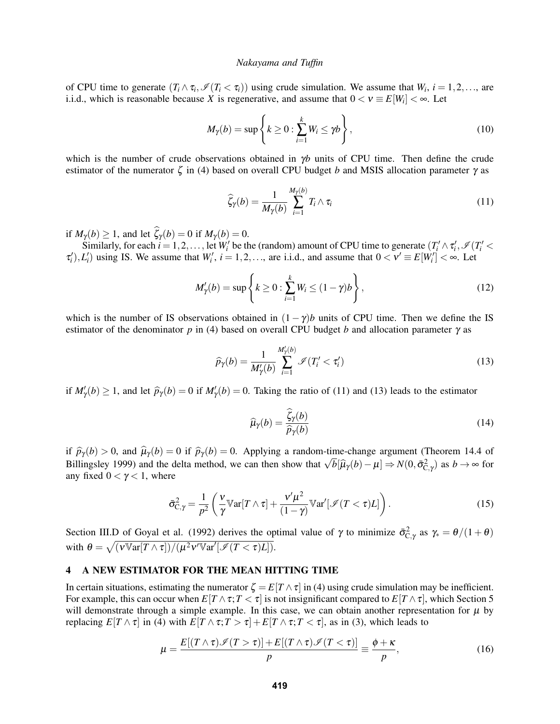of CPU time to generate  $(T_i \wedge \tau_i, \mathcal{I}(T_i < \tau_i))$  using crude simulation. We assume that  $W_i$ ,  $i = 1, 2, \ldots$ , are i.i.d., which is reasonable because *X* is regenerative, and assume that  $0 < v \equiv E[W_i] < \infty$ . Let

<span id="page-3-4"></span>
$$
M_{\gamma}(b) = \sup \left\{ k \ge 0 : \sum_{i=1}^{k} W_i \le \gamma b \right\},\tag{10}
$$

which is the number of crude observations obtained in γ*b* units of CPU time. Then define the crude estimator of the numerator  $\zeta$  in [\(4\)](#page-1-3) based on overall CPU budget *b* and MSIS allocation parameter  $\gamma$  as

<span id="page-3-1"></span>
$$
\widehat{\zeta}_{\gamma}(b) = \frac{1}{M_{\gamma}(b)} \sum_{i=1}^{M_{\gamma}(b)} T_i \wedge \tau_i
$$
\n(11)

if  $M_{\gamma}(b) \ge 1$ , and let  $\widehat{\zeta}_{\gamma}(b) = 0$  if  $M_{\gamma}(b) = 0$ .

Similarly, for each  $i = 1, 2, ...,$  let  $W_i'$  be the (random) amount of CPU time to generate  $(T_i' \wedge \tau_i', \mathcal{I}(T_i' <$  $\tau'_i$ ,  $L'_i$ ) using IS. We assume that  $W'_i$ ,  $i = 1, 2, \ldots$ , are i.i.d., and assume that  $0 < V' \equiv E[W'_i] < \infty$ . Let

<span id="page-3-5"></span>
$$
M'_{\gamma}(b) = \sup \left\{ k \ge 0 : \sum_{i=1}^{k} W_i \le (1 - \gamma)b \right\},\tag{12}
$$

which is the number of IS observations obtained in  $(1-\gamma)b$  units of CPU time. Then we define the IS estimator of the denominator *p* in [\(4\)](#page-1-3) based on overall CPU budget *b* and allocation parameter  $\gamma$  as

<span id="page-3-2"></span>
$$
\widehat{p}_{\gamma}(b) = \frac{1}{M'_{\gamma}(b)} \sum_{i=1}^{M'_{\gamma}(b)} \mathcal{I}(T'_i < \tau'_i) \tag{13}
$$

if  $M'_{\gamma}(b) \ge 1$ , and let  $\widehat{p}_{\gamma}(b) = 0$  if  $M'_{\gamma}(b) = 0$ . Taking the ratio of [\(11\)](#page-3-1) and [\(13\)](#page-3-2) leads to the estimator

<span id="page-3-6"></span>
$$
\widehat{\mu}_{\gamma}(b) = \frac{\widehat{\zeta}_{\gamma}(b)}{\widehat{p}_{\gamma}(b)}\tag{14}
$$

if  $\hat{p}_{\gamma}(b) > 0$ , and  $\hat{\mu}_{\gamma}(b) = 0$  if  $\hat{p}_{\gamma}(b) = 0$ . Applying a random-time-change argument (Theorem 14.4 of If  $p_γ(θ) > 0$ , and  $μ_γ(θ) = 0$  if  $p_γ(θ) = 0$ . Applying a random-time-change algument (Theorem 14.4 or [Billingsley 1999\)](#page-11-9) and the delta method, we can then show that  $\sqrt{b}[\hat{\mu}_γ(b) - \mu] \Rightarrow N(0, \bar{\sigma}_{C,γ}^2)$  as  $b \to ∞$  for any fixed  $0 < \gamma < 1$ , where

<span id="page-3-7"></span>
$$
\bar{\sigma}_{C,\gamma}^2 = \frac{1}{p^2} \left( \frac{v}{\gamma} \mathbb{V}ar[T \wedge \tau] + \frac{v'\mu^2}{(1-\gamma)} \mathbb{V}ar'[\mathcal{I}(T < \tau)L] \right). \tag{15}
$$

Section III.D of [Goyal et al. \(1992\)](#page-11-0) derives the optimal value of  $\gamma$  to minimize  $\bar{\sigma}_{C,\gamma}^2$  as  $\gamma_* = \theta/(1+\theta)$ with  $\theta = \sqrt{\frac{(\nu \mathbb{V}\ar{T \wedge \tau})}{(\mu^2 \nu' \mathbb{V}\ar'[\mathscr{I}(T < \tau)L])}}$ .

# <span id="page-3-0"></span>4 A NEW ESTIMATOR FOR THE MEAN HITTING TIME

In certain situations, estimating the numerator  $\zeta = E[T \wedge \tau]$  in [\(4\)](#page-1-3) using crude simulation may be inefficient. For example, this can occur when  $E[T \wedge \tau; T < \tau]$  is not insignificant compared to  $E[T \wedge \tau]$ , which Section [5](#page-5-0) will demonstrate through a simple example. In this case, we can obtain another representation for  $\mu$  by replacing  $E[T \wedge \tau]$  in [\(4\)](#page-1-3) with  $E[T \wedge \tau; T > \tau] + E[T \wedge \tau; T < \tau]$ , as in [\(3\)](#page-1-4), which leads to

<span id="page-3-3"></span>
$$
\mu = \frac{E[(T \wedge \tau)\mathscr{I}(T > \tau)] + E[(T \wedge \tau)\mathscr{I}(T < \tau)]}{p} \equiv \frac{\phi + \kappa}{p},\tag{16}
$$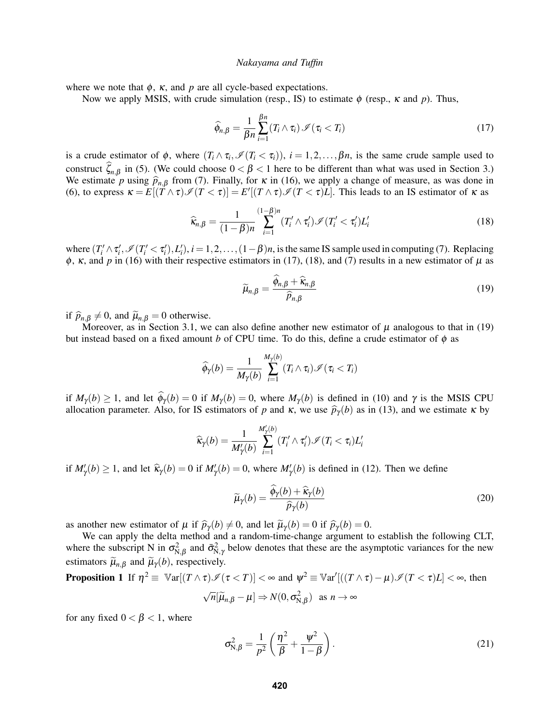where we note that  $\phi$ ,  $\kappa$ , and  $p$  are all cycle-based expectations.

Now we apply MSIS, with crude simulation (resp., IS) to estimate  $\phi$  (resp.,  $\kappa$  and  $p$ ). Thus,

<span id="page-4-0"></span>
$$
\widehat{\phi}_{n,\beta} = \frac{1}{\beta n} \sum_{i=1}^{\beta n} (T_i \wedge \tau_i) \mathcal{I}(\tau_i < T_i) \tag{17}
$$

is a crude estimator of  $\phi$ , where  $(T_i \wedge \tau_i, \mathcal{I}(T_i \langle \tau_i \rangle), i = 1, 2, ..., \beta n$ , is the same crude sample used to construct  $\hat{\zeta}_{n,\beta}$  in [\(5\)](#page-2-0). (We could choose  $0 < \beta < 1$  here to be different than what was used in Section [3.](#page-1-1)) We estimate *p* using  $\hat{p}_{n,\beta}$  from [\(7\)](#page-2-1). Finally, for  $\kappa$  in [\(16\)](#page-3-3), we apply a change of measure, as was done in [\(6\)](#page-2-2), to express  $\kappa = E[(T \wedge \tau) \mathcal{I}(T < \tau)] = E'[(T \wedge \tau) \mathcal{I}(T < \tau)L]$ . This leads to an IS estimator of  $\kappa$  as

<span id="page-4-1"></span>
$$
\widehat{\kappa}_{n,\beta} = \frac{1}{(1-\beta)n} \sum_{i=1}^{(1-\beta)n} (T_i' \wedge \tau_i') \mathcal{I}(T_i' < \tau_i') L_i' \tag{18}
$$

where  $(T_i' \wedge \tau_i', \mathcal{I}(T_i' < \tau_i'), L_i'), i = 1, 2, \ldots, (1 - \beta)n$ , is the same IS sample used in computing [\(7\)](#page-2-1). Replacing  $\phi$ ,  $\kappa$ , and  $p$  in [\(16\)](#page-3-3) with their respective estimators in [\(17\)](#page-4-0), [\(18\)](#page-4-1), and [\(7\)](#page-2-1) results in a new estimator of  $\mu$  as

<span id="page-4-2"></span>
$$
\widetilde{\mu}_{n,\beta} = \frac{\widehat{\phi}_{n,\beta} + \widehat{\kappa}_{n,\beta}}{\widehat{p}_{n,\beta}}
$$
\n(19)

if  $\hat{p}_{n,\beta} \neq 0$ , and  $\tilde{\mu}_{n,\beta} = 0$  otherwise.

Moreover, as in Section [3.1,](#page-2-3) we can also define another new estimator of  $\mu$  analogous to that in [\(19\)](#page-4-2) but instead based on a fixed amount *b* of CPU time. To do this, define a crude estimator of  $\phi$  as

$$
\widehat{\phi}_{\gamma}(b) = \frac{1}{M_{\gamma}(b)}\sum_{i=1}^{M_{\gamma}(b)} (T_i \wedge \tau_i) \mathscr{I}(\tau_i < T_i)
$$

if  $M_{\gamma}(b) \ge 1$ , and let  $\hat{\phi}_{\gamma}(b) = 0$  if  $M_{\gamma}(b) = 0$ , where  $M_{\gamma}(b)$  is defined in [\(10\)](#page-3-4) and  $\gamma$  is the MSIS CPU allocation parameter. Also, for IS estimators of *p* and  $\kappa$ , we use  $\hat{p}_{\gamma}(b)$  as in [\(13\)](#page-3-2), and we estimate  $\kappa$  by

$$
\widehat{\kappa}_{\gamma}(b) = \frac{1}{M'_{\gamma}(b)} \sum_{i=1}^{M'_{\gamma}(b)} (T'_i \wedge \tau'_i) \mathcal{I}(T_i < \tau_i) L'_i
$$

if  $M'_{\gamma}(b) \ge 1$ , and let  $\hat{\kappa}_{\gamma}(b) = 0$  if  $M'_{\gamma}(b) = 0$ , where  $M'_{\gamma}(b)$  is defined in [\(12\)](#page-3-5). Then we define

<span id="page-4-4"></span>
$$
\widetilde{\mu}_{\gamma}(b) = \frac{\widehat{\phi}_{\gamma}(b) + \widehat{\kappa}_{\gamma}(b)}{\widehat{p}_{\gamma}(b)}
$$
\n(20)

as another new estimator of  $\mu$  if  $\hat{p}_{\gamma}(b) \neq 0$ , and let  $\tilde{\mu}_{\gamma}(b) = 0$  if  $\hat{p}_{\gamma}(b) = 0$ .

We can apply the delta method and a random-time-change argument to establish the following CLT, where the subscript N in  $\sigma_{N,\beta}^2$  and  $\bar{\sigma}_{N,\gamma}^2$  below denotes that these are the asymptotic variances for the new estimators  $\tilde{\mu}_{n,\beta}$  and  $\tilde{\mu}_{\gamma}(b)$ , respectively.

**Proposition 1** If 
$$
\eta^2 \equiv \mathbb{V}\text{ar}[(T \wedge \tau) \mathscr{I}(\tau < T)] < \infty
$$
 and  $\psi^2 \equiv \mathbb{V}\text{ar}'[((T \wedge \tau) - \mu) \mathscr{I}(T < \tau)L] < \infty$ , then  

$$
\sqrt{n}[\widetilde{\mu}_{n,\beta} - \mu] \Rightarrow N(0, \sigma_{N,\beta}^2) \text{ as } n \to \infty
$$

for any fixed  $0 < \beta < 1$ , where

<span id="page-4-3"></span>
$$
\sigma_{\text{N},\beta}^2 = \frac{1}{p^2} \left( \frac{\eta^2}{\beta} + \frac{\psi^2}{1-\beta} \right). \tag{21}
$$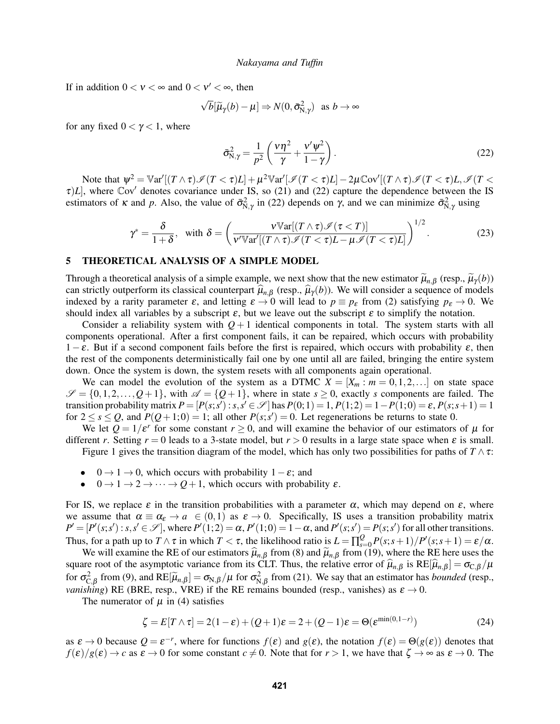If in addition  $0 < v < \infty$  and  $0 < v' < \infty$ , then

$$
\sqrt{b}[\widetilde{\mu}_{\gamma}(b)-\mu] \Rightarrow N(0, \bar{\sigma}_{N,\gamma}^2) \text{ as } b \to \infty
$$

for any fixed  $0 < \gamma < 1$ , where

<span id="page-5-1"></span>
$$
\bar{\sigma}_{N,\gamma}^2 = \frac{1}{p^2} \left( \frac{\nu \eta^2}{\gamma} + \frac{\nu' \psi^2}{1 - \gamma} \right). \tag{22}
$$

Note that  $\psi^2 = \mathbb{V}\ar'[(T \wedge \tau)\mathscr{I}(T < \tau)L] + \mu^2 \mathbb{V}\ar'[\mathscr{I}(T < \tau)L] - 2\mu \mathbb{C}\text{ov}'[(T \wedge \tau)\mathscr{I}(T < \tau)L, \mathscr{I}(T < \tau)]$  $\tau$ )*L*], where Cov' denotes covariance under IS, so [\(21\)](#page-4-3) and [\(22\)](#page-5-1) capture the dependence between the IS estimators of  $\kappa$  and  $p$ . Also, the value of  $\bar{\sigma}_{N,\gamma}^2$  in [\(22\)](#page-5-1) depends on  $\gamma$ , and we can minimize  $\bar{\sigma}_{N,\gamma}^2$  using

<span id="page-5-3"></span>
$$
\gamma^* = \frac{\delta}{1+\delta}, \text{ with } \delta = \left(\frac{\nu \mathbb{V}\text{ar}[(T \wedge \tau) \mathscr{I}(\tau < T)]}{\nu' \mathbb{V}\text{ar}'[(T \wedge \tau) \mathscr{I}(T < \tau)L - \mu \mathscr{I}(T < \tau)L]}\right)^{1/2}.
$$
 (23)

## <span id="page-5-0"></span>5 THEORETICAL ANALYSIS OF A SIMPLE MODEL

Through a theoretical analysis of a simple example, we next show that the new estimator  $\tilde{\mu}_{n,\beta}$  (resp.,  $\tilde{\mu}_{\gamma}(b)$ ) can strictly outperform its classical counterpart  $\hat{\mu}_{n,\beta}$  (resp.,  $\hat{\mu}_{\gamma}(b)$ ). We will consider a sequence of models indexed by a rarity parameter  $\varepsilon$ , and letting  $\varepsilon \to 0$  will lead to  $p \equiv p_{\varepsilon}$  from [\(2\)](#page-1-5) satisfying  $p_{\varepsilon} \to 0$ . We should index all variables by a subscript  $\varepsilon$ , but we leave out the subscript  $\varepsilon$  to simplify the notation.

Consider a reliability system with  $Q+1$  identical components in total. The system starts with all components operational. After a first component fails, it can be repaired, which occurs with probability  $1-\varepsilon$ . But if a second component fails before the first is repaired, which occurs with probability  $\varepsilon$ , then the rest of the components deterministically fail one by one until all are failed, bringing the entire system down. Once the system is down, the system resets with all components again operational.

We can model the evolution of the system as a DTMC  $X = [X_m : m = 0, 1, 2, \ldots]$  on state space  $\mathscr{S} = \{0, 1, 2, \ldots, Q+1\}$ , with  $\mathscr{A} = \{Q+1\}$ , where in state  $s \geq 0$ , exactly *s* components are failed. The transition probability matrix  $P = [P(s; s') : s, s' \in \mathcal{S}]$  has  $P(0; 1) = 1, P(1; 2) = 1 - P(1; 0) = \varepsilon$ ,  $P(s; s + 1) = 1$ for  $2 \le s \le Q$ , and  $P(Q+1, 0) = 1$ ; all other  $P(s, s') = 0$ . Let regenerations be returns to state 0.

We let  $Q = 1/\varepsilon^r$  for some constant  $r \ge 0$ , and will examine the behavior of our estimators of  $\mu$  for different *r*. Setting  $r = 0$  leads to a 3-state model, but  $r > 0$  results in a large state space when  $\varepsilon$  is small.

Figure [1](#page-6-0) gives the transition diagram of the model, which has only two possibilities for paths of  $T \wedge \tau$ :

- $0 \rightarrow 1 \rightarrow 0$ , which occurs with probability  $1 \varepsilon$ ; and
- $0 \rightarrow 1 \rightarrow 2 \rightarrow \cdots \rightarrow Q+1$ , which occurs with probability  $\varepsilon$ .

For IS, we replace  $\varepsilon$  in the transition probabilities with a parameter  $\alpha$ , which may depend on  $\varepsilon$ , where we assume that  $\alpha \equiv \alpha_{\varepsilon} \to a \in (0,1)$  as  $\varepsilon \to 0$ . Specifically, IS uses a transition probability matrix  $P' = [P'(s; s') : s, s' \in \mathcal{S}]$ , where  $P'(1; 2) = \alpha$ ,  $P'(1; 0) = 1 - \alpha$ , and  $P'(s; s') = P(s; s')$  for all other transitions. Thus, for a path up to  $T \wedge \tau$  in which  $T < \tau$ , the likelihood ratio is  $L = \prod_{s=0}^{Q} P(s; s+1)/P'(s; s+1) = \varepsilon/\alpha$ .

We will examine the RE of our estimators  $\hat{\mu}_{n,\beta}$  from [\(8\)](#page-2-4) and  $\tilde{\mu}_{n,\beta}$  from [\(19\)](#page-4-2), where the RE here uses the regard of the example of the example of  $\tilde{\mu}_{n,\beta}$  from (19), where the RE here uses the square root of the asymptotic variance from its CLT. Thus, the relative error of  $\hat{\mu}_{n,\beta}$  is RE[ $\hat{\mu}_{n,\beta} = \sigma_{C,\beta}/\mu$ for  $\sigma_{C,\beta}^2$  from [\(9\)](#page-2-5), and  $RE[\tilde{\mu}_{n,\beta}] = \sigma_{N,\beta}/\mu$  for  $\sigma_{N,\beta}^2$  from [\(21\)](#page-4-3). We say that an estimator has *bounded* (resp., *vanishing*) RE (BRE, resp., VRE) if the RE remains bounded (resp., vanishes) as  $\varepsilon \to 0$ .

The numerator of  $\mu$  in [\(4\)](#page-1-3) satisfies

<span id="page-5-2"></span>
$$
\zeta = E[T \wedge \tau] = 2(1 - \varepsilon) + (Q + 1)\varepsilon = 2 + (Q - 1)\varepsilon = \Theta(\varepsilon^{\min(0, 1 - r)})
$$
\n(24)

as  $\varepsilon \to 0$  because  $Q = \varepsilon^{-r}$ , where for functions  $f(\varepsilon)$  and  $g(\varepsilon)$ , the notation  $f(\varepsilon) = \Theta(g(\varepsilon))$  denotes that  $f(\varepsilon)/g(\varepsilon) \to c$  as  $\varepsilon \to 0$  for some constant  $c \neq 0$ . Note that for  $r > 1$ , we have that  $\zeta \to \infty$  as  $\varepsilon \to 0$ . The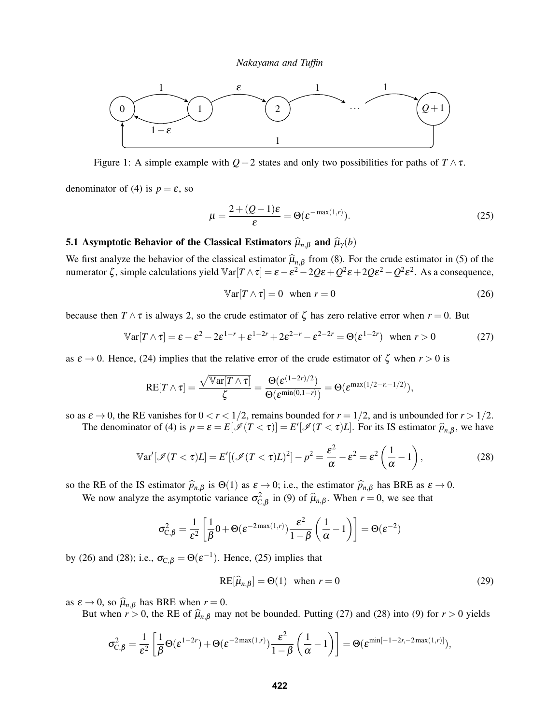

<span id="page-6-0"></span>Figure 1: A simple example with  $Q+2$  states and only two possibilities for paths of  $T \wedge \tau$ .

denominator of [\(4\)](#page-1-3) is  $p = \varepsilon$ , so

<span id="page-6-3"></span>
$$
\mu = \frac{2 + (Q - 1)\varepsilon}{\varepsilon} = \Theta(\varepsilon^{-\max(1, r)}).
$$
\n(25)

# 5.1 Asymptotic Behavior of the Classical Estimators  $\hat{\mu}_{n,\beta}$  and  $\hat{\mu}_{\gamma}(b)$

We first analyze the behavior of the classical estimator  $\hat{\mu}_{n,\beta}$  from [\(8\)](#page-2-4). For the crude estimator in [\(5\)](#page-2-0) of the numerator ζ, simple calculations yield  $\mathbb{V}\text{ar}[T \wedge \tau] = \varepsilon - \varepsilon^2 - 2Q\varepsilon + Q^2\varepsilon + 2Q\varepsilon^2 - Q^2\varepsilon^2$ . As a consequence,

<span id="page-6-1"></span>
$$
\mathbb{V}\text{ar}[T \wedge \tau] = 0 \quad \text{when } r = 0 \tag{26}
$$

because then  $T \wedge \tau$  is always 2, so the crude estimator of  $\zeta$  has zero relative error when  $r = 0$ . But

<span id="page-6-4"></span>
$$
\mathbb{V}\text{ar}[T \wedge \tau] = \varepsilon - \varepsilon^2 - 2\varepsilon^{1-r} + \varepsilon^{1-2r} + 2\varepsilon^{2-r} - \varepsilon^{2-2r} = \Theta(\varepsilon^{1-2r}) \quad \text{when } r > 0 \tag{27}
$$

as  $\varepsilon \to 0$ . Hence, [\(24\)](#page-5-2) implies that the relative error of the crude estimator of  $\zeta$  when  $r > 0$  is

$$
RE[T \wedge \tau] = \frac{\sqrt{\mathbb{V}\text{ar}[T \wedge \tau]}}{\zeta} = \frac{\Theta(\varepsilon^{(1-2r)/2})}{\Theta(\varepsilon^{\min(0,1-r)})} = \Theta(\varepsilon^{\max(1/2-r,-1/2)}),
$$

so as  $\varepsilon \to 0$ , the RE vanishes for  $0 < r < 1/2$ , remains bounded for  $r = 1/2$ , and is unbounded for  $r > 1/2$ .

The denominator of [\(4\)](#page-1-3) is  $p = \varepsilon = E[\mathcal{I}(T < \tau)] = E'[\mathcal{I}(T < \tau)L]$ . For its IS estimator  $\widehat{p}_{n,\beta}$ , we have

$$
\mathbb{V}\text{ar}'[\mathcal{I}(T<\tau)L] = E'[(\mathcal{I}(T<\tau)L)^2] - p^2 = \frac{\varepsilon^2}{\alpha} - \varepsilon^2 = \varepsilon^2 \left(\frac{1}{\alpha} - 1\right),\tag{28}
$$

so the RE of the IS estimator  $\hat{p}_{n,\beta}$  is  $\Theta(1)$  as  $\varepsilon \to 0$ ; i.e., the estimator  $\hat{p}_{n,\beta}$  has BRE as  $\varepsilon \to 0$ .

We now analyze the asymptotic variance  $\sigma_{C,\beta}^2$  in [\(9\)](#page-2-5) of  $\hat{\mu}_{n,\beta}$ . When  $r = 0$ , we see that

$$
\sigma_{C,\beta}^2 = \frac{1}{\varepsilon^2} \left[ \frac{1}{\beta} 0 + \Theta(\varepsilon^{-2\max(1,r)}) \frac{\varepsilon^2}{1-\beta} \left( \frac{1}{\alpha} - 1 \right) \right] = \Theta(\varepsilon^{-2})
$$

by [\(26\)](#page-6-1) and [\(28\)](#page-6-2); i.e.,  $\sigma_{C,\beta} = \Theta(\varepsilon^{-1})$ . Hence, [\(25\)](#page-6-3) implies that

<span id="page-6-5"></span><span id="page-6-2"></span>
$$
RE[\hat{\mu}_{n,\beta}] = \Theta(1) \quad \text{when } r = 0 \tag{29}
$$

as  $\varepsilon \to 0$ , so  $\hat{\mu}_{n,\beta}$  has BRE when  $r = 0$ .

But when  $r > 0$ , the RE of  $\hat{\mu}_{n,\beta}$  may not be bounded. Putting [\(27\)](#page-6-4) and [\(28\)](#page-6-2) into [\(9\)](#page-2-5) for  $r > 0$  yields

$$
\sigma_{C,\beta}^2 = \frac{1}{\varepsilon^2} \left[ \frac{1}{\beta} \Theta(\varepsilon^{1-2r}) + \Theta(\varepsilon^{-2\max(1,r)}) \frac{\varepsilon^2}{1-\beta} \left( \frac{1}{\alpha} - 1 \right) \right] = \Theta(\varepsilon^{\min[-1-2r,-2\max(1,r)]}),
$$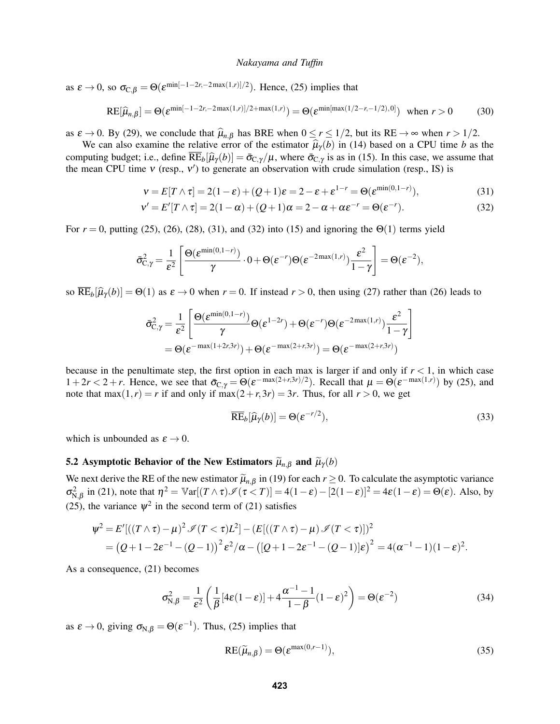as  $\varepsilon \to 0$ , so  $\sigma_{\text{C},\beta} = \Theta(\varepsilon^{\min[-1-2r,-2\max(1,r)]/2})$ . Hence, [\(25\)](#page-6-3) implies that

$$
RE[\widehat{\mu}_{n,\beta}] = \Theta(\varepsilon^{\min[-1-2r,-2\max(1,r)]/2+\max(1,r)}) = \Theta(\varepsilon^{\min[\max(1/2-r,-1/2),0]}) \text{ when } r > 0 \tag{30}
$$

as  $\varepsilon \to 0$ . By [\(29\)](#page-6-5), we conclude that  $\hat{\mu}_{n,\beta}$  has BRE when  $0 \le r \le 1/2$ , but its RE  $\to \infty$  when  $r > 1/2$ .

We can also examine the relative error of the estimator  $\hat{\mu}_{\gamma}(b)$  in [\(14\)](#page-3-6) based on a CPU time *b* as the computing budget; i.e., define  $\overline{\text{RE}}_b[\hat{\mu}_\gamma(b)] = \bar{\sigma}_{C,\gamma}/\mu$ , where  $\bar{\sigma}_{C,\gamma}$  is as in [\(15\)](#page-3-7). In this case, we assume that the mean CBU time  $\mathcal{U}$  (resp.  $\mathcal{V}'$ ) to generate an observation with crude simulation the mean CPU time  $v$  (resp.,  $v'$ ) to generate an observation with crude simulation (resp., IS) is

<span id="page-7-2"></span><span id="page-7-0"></span>
$$
\mathbf{v} = E[T \wedge \tau] = 2(1 - \varepsilon) + (Q + 1)\varepsilon = 2 - \varepsilon + \varepsilon^{1-r} = \Theta(\varepsilon^{\min(0, 1 - r)}),
$$
\n(31)

$$
\mathbf{v}' = E'[T \wedge \tau] = 2(1 - \alpha) + (Q + 1)\alpha = 2 - \alpha + \alpha \varepsilon^{-r} = \Theta(\varepsilon^{-r}).\tag{32}
$$

For  $r = 0$ , putting [\(25\)](#page-6-3), [\(26\)](#page-6-1), [\(28\)](#page-6-2), [\(31\)](#page-7-0), and [\(32\)](#page-7-1) into [\(15\)](#page-3-7) and ignoring the  $\Theta(1)$  terms yield

$$
\bar{\sigma}_{C,\gamma}^2 = \frac{1}{\epsilon^2} \left[ \frac{\Theta(\epsilon^{\min(0,1-r)})}{\gamma} \cdot 0 + \Theta(\epsilon^{-r}) \Theta(\epsilon^{-2\max(1,r)}) \frac{\epsilon^2}{1-\gamma} \right] = \Theta(\epsilon^{-2}),
$$

so  $\overline{\text{RE}}_b[\hat{\mu}_y(b)] = \Theta(1)$  as  $\varepsilon \to 0$  when  $r = 0$ . If instead  $r > 0$ , then using [\(27\)](#page-6-4) rather than [\(26\)](#page-6-1) leads to

$$
\bar{\sigma}_{C,\gamma}^2 = \frac{1}{\varepsilon^2} \left[ \frac{\Theta(\varepsilon^{\min(0,1-r)})}{\gamma} \Theta(\varepsilon^{1-2r}) + \Theta(\varepsilon^{-r}) \Theta(\varepsilon^{-2\max(1,r)}) \frac{\varepsilon^2}{1-\gamma} \right]
$$

$$
= \Theta(\varepsilon^{-\max(1+2r,3r)}) + \Theta(\varepsilon^{-\max(2+r,3r)}) = \Theta(\varepsilon^{-\max(2+r,3r)})
$$

because in the penultimate step, the first option in each max is larger if and only if  $r < 1$ , in which case  $1+2r < 2+r$ . Hence, we see that  $\bar{\sigma}_{C,\gamma} = \Theta(\varepsilon^{-\max(2+r,3r)/2})$ . Recall that  $\mu = \Theta(\varepsilon^{-\max(1,r)})$  by [\(25\)](#page-6-3), and note that  $max(1,r) = r$  if and only if  $max(2+r,3r) = 3r$ . Thus, for all  $r > 0$ , we get

<span id="page-7-4"></span><span id="page-7-1"></span>
$$
\overline{\text{RE}}_b[\widehat{\mu}_\gamma(b)] = \Theta(\varepsilon^{-r/2}),\tag{33}
$$

which is unbounded as  $\varepsilon \to 0$ .

# 5.2 Asymptotic Behavior of the New Estimators  $\widetilde{\mu}_{n,\beta}$  and  $\widetilde{\mu}_{\gamma}(b)$

We next derive the RE of the new estimator  $\tilde{\mu}_{n,\beta}$  in [\(19\)](#page-4-2) for each  $r \ge 0$ . To calculate the asymptotic variance  $\sigma_{N,\beta}^2$  in [\(21\)](#page-4-3), note that  $\eta^2 = \mathbb{V}\ar[(T \wedge \tau)\mathcal{I}(\tau < T)] = 4(1-\varepsilon) - [2(1-\varepsilon)]^2 = 4\varepsilon(1-\varepsilon) = \Theta(\varepsilon)$ . Also, by [\(25\)](#page-6-3), the variance  $\psi^2$  in the second term of [\(21\)](#page-4-3) satisfies

$$
\psi^2 = E'[((T \wedge \tau) - \mu)^2 \mathcal{I}(T < \tau)L^2] - (E[((T \wedge \tau) - \mu) \mathcal{I}(T < \tau)])^2
$$
  
=  $(Q + 1 - 2\varepsilon^{-1} - (Q - 1))^2 \varepsilon^2/\alpha - ([Q + 1 - 2\varepsilon^{-1} - (Q - 1)]\varepsilon)^2 = 4(\alpha^{-1} - 1)(1 - \varepsilon)^2.$ 

As a consequence, [\(21\)](#page-4-3) becomes

$$
\sigma_{N,\beta}^2 = \frac{1}{\varepsilon^2} \left( \frac{1}{\beta} [4\varepsilon (1-\varepsilon)] + 4 \frac{\alpha^{-1} - 1}{1-\beta} (1-\varepsilon)^2 \right) = \Theta(\varepsilon^{-2})
$$
(34)

as  $\varepsilon \to 0$ , giving  $\sigma_{N,\beta} = \Theta(\varepsilon^{-1})$ . Thus, [\(25\)](#page-6-3) implies that

<span id="page-7-5"></span><span id="page-7-3"></span>
$$
RE(\widetilde{\mu}_{n,\beta}) = \Theta(\varepsilon^{\max(0,r-1)}),
$$
\n(35)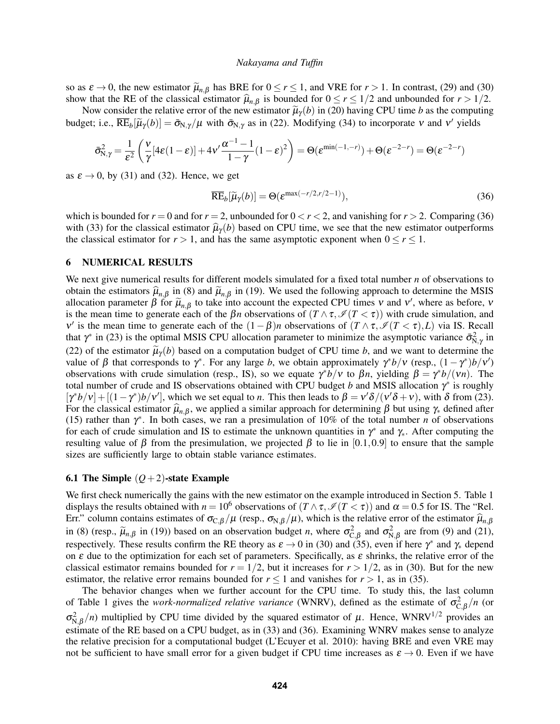so as  $\varepsilon \to 0$ , the new estimator  $\widetilde{\mu}_{n,\beta}$  has BRE for  $0 \le r \le 1$ , and VRE for  $r > 1$ . In contrast, [\(29\)](#page-6-5) and [\(30\)](#page-7-2) show that the RE of the classical estimator  $\hat{\mu}_{n,\beta}$  is bounded for  $0 \le r \le 1/2$  and unbounded for  $r > 1/2$ .

Now consider the relative error of the new estimator  $\tilde{\mu}_{\gamma}(b)$  in [\(20\)](#page-4-4) having CPU time *b* as the computing budget; i.e.,  $\overline{\text{RE}}_b[\tilde{\mu}_\gamma(b)] = \bar{\sigma}_{N,\gamma}/\mu$  with  $\bar{\sigma}_{N,\gamma}$  as in [\(22\)](#page-5-1). Modifying [\(34\)](#page-7-3) to incorporate v and v' yields

$$
\bar{\sigma}_{N,\gamma}^2 = \frac{1}{\epsilon^2} \left( \frac{v}{\gamma} [4\epsilon(1-\epsilon)] + 4v' \frac{\alpha^{-1}-1}{1-\gamma} (1-\epsilon)^2 \right) = \Theta(\epsilon^{\min(-1,-r)}) + \Theta(\epsilon^{-2-r}) = \Theta(\epsilon^{-2-r})
$$

as  $\varepsilon \to 0$ , by [\(31\)](#page-7-0) and [\(32\)](#page-7-1). Hence, we get

<span id="page-8-1"></span>
$$
\overline{\text{RE}}_b[\widetilde{\mu}_\gamma(b)] = \Theta(\varepsilon^{\max(-r/2, r/2 - 1)}),\tag{36}
$$

which is bounded for  $r = 0$  and for  $r = 2$ , unbounded for  $0 < r < 2$ , and vanishing for  $r > 2$ . Comparing [\(36\)](#page-8-1) with [\(33\)](#page-7-4) for the classical estimator  $\hat{\mu}_{\gamma}(b)$  based on CPU time, we see that the new estimator outperforms the classical estimator for  $r > 1$ , and has the same asymptotic exponent when  $0 \le r \le 1$ .

## <span id="page-8-0"></span>6 NUMERICAL RESULTS

We next give numerical results for different models simulated for a fixed total number *n* of observations to obtain the estimators  $\hat{\mu}_{n,\beta}$  in [\(8\)](#page-2-4) and  $\tilde{\mu}_{n,\beta}$  in [\(19\)](#page-4-2). We used the following approach to determine the MSIS allocation parameter  $\beta$  for  $\tilde{\mu}_{n,\beta}$  to take into account the expected CPU times v and v', where as before, v is the mean time to generate each of the  $\beta n$  observations of  $(T \wedge \tau, \mathcal{I}(T \leq \tau))$  with crude simulation, and v' is the mean time to generate each of the  $(1 - \beta)n$  observations of  $(T \wedge \tau, \mathcal{I}(T \leq \tau), L)$  via IS. Recall that  $\gamma^*$  in [\(23\)](#page-5-3) is the optimal MSIS CPU allocation parameter to minimize the asymptotic variance  $\bar{\sigma}_{N,\gamma}^2$  in [\(22\)](#page-5-1) of the estimator  $\tilde{\mu}_{\gamma}(b)$  based on a computation budget of CPU time *b*, and we want to determine the value of β that corresponds to γ<sup>\*</sup>. For any large b, we obtain approximately γ<sup>\*</sup>b/ν (resp.,  $(1 - \gamma^*)b/\nu'$ ) observations with crude simulation (resp., IS), so we equate  $\gamma^*b/\nu$  to β*n*, yielding  $β = \gamma^*b/(vn)$ . The total number of crude and IS observations obtained with CPU budget *b* and MSIS allocation  $\gamma^*$  is roughly  $[\gamma^*b/\nu]+[(1-\gamma^*)b/\nu']$ , which we set equal to *n*. This then leads to  $\beta = v'\delta/(v'\delta + \nu)$ , with  $\delta$  from [\(23\)](#page-5-3). For the classical estimator  $\hat{\mu}_{n,\beta}$ , we applied a similar approach for determining  $\beta$  but using  $\gamma_*$  defined after [\(15\)](#page-3-7) rather than  $\gamma^*$ . In both cases, we ran a presimulation of 10% of the total number *n* of observations for each of crude simulation and IS to estimate the unknown quantities in  $\gamma^*$  and  $\gamma_*$ . After computing the resulting value of β from the presimulation, we projected β to lie in [0.1,0.9] to ensure that the sample sizes are sufficiently large to obtain stable variance estimates.

### 6.1 The Simple  $(Q+2)$ -state Example

We first check numerically the gains with the new estimator on the example introduced in Section [5.](#page-5-0) Table [1](#page-9-0) displays the results obtained with  $n = 10^6$  observations of  $(T \wedge \tau, \mathcal{I}(T \leq \tau))$  and  $\alpha = 0.5$  for IS. The "Rel. Err." column contains estimates of  $\sigma_{C,\beta}/\mu$  (resp.,  $\sigma_{N,\beta}/\mu$ ), which is the relative error of the estimator  $\hat{\mu}_{n,\beta}$ in [\(8\)](#page-2-4) (resp.,  $\tilde{\mu}_{n,\beta}$  in [\(19\)](#page-4-2)) based on an observation budget *n*, where  $\sigma_{C,\beta}^2$  and  $\sigma_{N,\beta}^2$  are from [\(9\)](#page-2-5) and [\(21\)](#page-4-3), respectively. These results confirm the RE theory as  $\varepsilon \to 0$  in [\(30\)](#page-7-2) and [\(35\)](#page-7-5), even if here  $\gamma^*$  and  $\gamma_*$  depend on  $\varepsilon$  due to the optimization for each set of parameters. Specifically, as  $\varepsilon$  shrinks, the relative error of the classical estimator remains bounded for  $r = 1/2$ , but it increases for  $r > 1/2$ , as in [\(30\)](#page-7-2). But for the new estimator, the relative error remains bounded for  $r \le 1$  and vanishes for  $r > 1$ , as in [\(35\)](#page-7-5).

The behavior changes when we further account for the CPU time. To study this, the last column of Table [1](#page-9-0) gives the *work-normalized relative variance* (WNRV), defined as the estimate of  $\sigma_{C,\beta}^2/n$  (or  $\sigma_{N,\beta}^2(n)$  multiplied by CPU time divided by the squared estimator of  $\mu$ . Hence, WNRV<sup>1/2</sup> provides an estimate of the RE based on a CPU budget, as in [\(33\)](#page-7-4) and [\(36\)](#page-8-1). Examining WNRV makes sense to analyze the relative precision for a computational budget [\(L'Ecuyer et al. 2010\)](#page-11-10): having BRE and even VRE may not be sufficient to have small error for a given budget if CPU time increases as  $\varepsilon \to 0$ . Even if we have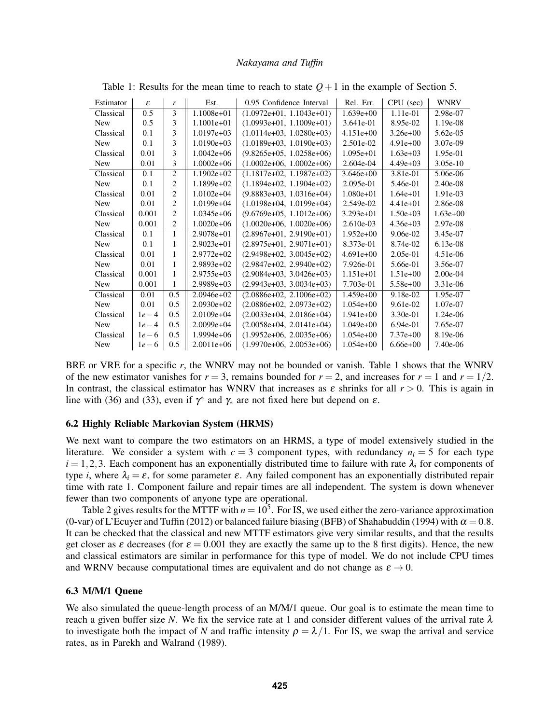| Estimator  | ε      | r              | Est.         | 0.95 Confidence Interval   | Rel. Err.     | CPU (sec)    | <b>WNRV</b> |
|------------|--------|----------------|--------------|----------------------------|---------------|--------------|-------------|
| Classical  | 0.5    | 3              | $1.1008e+01$ | $(1.0972e+01, 1.1043e+01)$ | $1.639e+00$   | 1.11e-01     | 2.98e-07    |
| <b>New</b> | 0.5    | 3              | $1.1001e+01$ | $(1.0993e+01, 1.1009e+01)$ | 3.641e-01     | 8.95e-02     | 1.19e-08    |
| Classical  | 0.1    | 3              | $1.0197e+03$ | $(1.0114e+03, 1.0280e+03)$ | $4.151e+00$   | $3.26e + 00$ | 5.62e-05    |
| <b>New</b> | 0.1    | 3              | $1.0190e+03$ | $(1.0189e+03, 1.0190e+03)$ | 2.501e-02     | $4.91e+00$   | 3.07e-09    |
| Classical  | 0.01   | 3              | $1.0042e+06$ | $(9.8265e+05, 1.0258e+06)$ | $1.095e+01$   | $1.63e+03$   | 1.95e-01    |
| <b>New</b> | 0.01   | 3              | $1.0002e+06$ | $(1.0002e+06, 1.0002e+06)$ | 2.604e-04     | $4.49e+03$   | $3.05e-10$  |
| Classical  | 0.1    | $\overline{c}$ | $1.1902e+02$ | $(1.1817e+02, 1.1987e+02)$ | $3.646e+00$   | 3.81e-01     | 5.06e-06    |
| <b>New</b> | 0.1    | 2              | $1.1899e+02$ | $(1.1894e+02, 1.1904e+02)$ | 2.095e-01     | 5.46e-01     | $2.40e-08$  |
| Classical  | 0.01   | $\overline{c}$ | $1.0102e+04$ | $(9.8883e+03, 1.0316e+04)$ | $1.080e + 01$ | $1.64e + 01$ | 1.91e-03    |
| <b>New</b> | 0.01   | $\overline{c}$ | $1.0199e+04$ | $(1.0198e+04, 1.0199e+04)$ | 2.549e-02     | $4.41e+01$   | 2.86e-08    |
| Classical  | 0.001  | $\overline{c}$ | $1.0345e+06$ | $(9.6769e+05, 1.1012e+06)$ | $3.293e+01$   | $1.50e+03$   | $1.63e+00$  |
| <b>New</b> | 0.001  | $\overline{c}$ | $1.0020e+06$ | $(1.0020e+06, 1.0020e+06)$ | 2.610e-03     | $4.36e + 03$ | 2.97e-08    |
| Classical  | 0.1    | 1              | $2.9078e+01$ | $(2.8967e+01, 2.9190e+01)$ | $1.952e+00$   | $9.06e-02$   | 3.45e-07    |
| <b>New</b> | 0.1    | 1              | $2.9023e+01$ | $(2.8975e+01, 2.9071e+01)$ | 8.373e-01     | 8.74e-02     | $6.13e-08$  |
| Classical  | 0.01   | 1              | $2.9772e+02$ | $(2.9498e+02, 3.0045e+02)$ | $4.691e+00$   | $2.05e-01$   | $4.51e-06$  |
| <b>New</b> | 0.01   | 1              | $2.9893e+02$ | $(2.9847e+02, 2.9940e+02)$ | 7.926e-01     | 5.66e-01     | 3.56e-07    |
| Classical  | 0.001  | 1              | 2.9755e+03   | $(2.9084e+03, 3.0426e+03)$ | $1.151e+01$   | $1.51e+00$   | $2.00e-04$  |
| <b>New</b> | 0.001  | 1              | $2.9989e+03$ | $(2.9943e+03, 3.0034e+03)$ | 7.703e-01     | $5.58e+00$   | 3.31e-06    |
| Classical  | 0.01   | 0.5            | $2.0946e+02$ | $(2.0886e+02, 2.1006e+02)$ | $1.459e+00$   | $9.18e-02$   | 1.95e-07    |
| <b>New</b> | 0.01   | 0.5            | $2.0930e+02$ | $(2.0886e+02, 2.0973e+02)$ | $1.054e+00$   | 9.61e-02     | 1.07e-07    |
| Classical  | $1e-4$ | 0.5            | $2.0109e+04$ | $(2.0033e+04, 2.0186e+04)$ | $1.941e+00$   | $3.30e-01$   | 1.24e-06    |
| <b>New</b> | $1e-4$ | 0.5            | $2.0099e+04$ | $(2.0058e+04, 2.0141e+04)$ | $1.049e+00$   | $6.94e-01$   | 7.65e-07    |
| Classical  | $1e-6$ | 0.5            | $1.9994e+06$ | $(1.9952e+06, 2.0035e+06)$ | $1.054e+00$   | $7.37e+00$   | 8.19e-06    |
| <b>New</b> | $1e-6$ | 0.5            | $2.0011e+06$ | $(1.9970e+06, 2.0053e+06)$ | $1.054e+00$   | $6.66e + 00$ | 7.40e-06    |

<span id="page-9-0"></span>Table 1: Results for the mean time to reach to state  $Q+1$  in the example of Section [5.](#page-5-0)

BRE or VRE for a specific *r*, the WNRV may not be bounded or vanish. Table [1](#page-9-0) shows that the WNRV of the new estimator vanishes for  $r = 3$ , remains bounded for  $r = 2$ , and increases for  $r = 1$  and  $r = 1/2$ . In contrast, the classical estimator has WNRV that increases as  $\varepsilon$  shrinks for all  $r > 0$ . This is again in line with [\(36\)](#page-8-1) and [\(33\)](#page-7-4), even if  $\gamma^*$  and  $\gamma_*$  are not fixed here but depend on  $\varepsilon$ .

## 6.2 Highly Reliable Markovian System (HRMS)

We next want to compare the two estimators on an HRMS, a type of model extensively studied in the literature. We consider a system with  $c = 3$  component types, with redundancy  $n_i = 5$  for each type  $i = 1, 2, 3$ . Each component has an exponentially distributed time to failure with rate  $\lambda_i$  for components of type *i*, where  $\lambda_i = \varepsilon$ , for some parameter  $\varepsilon$ . Any failed component has an exponentially distributed repair time with rate 1. Component failure and repair times are all independent. The system is down whenever fewer than two components of anyone type are operational.

Table [2](#page-10-1) gives results for the MTTF with  $n = 10<sup>5</sup>$ . For IS, we used either the zero-variance approximation (0-var) of [L'Ecuyer and Tuffin \(2012\)](#page-11-11) or balanced failure biasing (BFB) of [Shahabuddin \(1994\)](#page-11-12) with  $\alpha = 0.8$ . It can be checked that the classical and new MTTF estimators give very similar results, and that the results get closer as  $\varepsilon$  decreases (for  $\varepsilon = 0.001$  they are exactly the same up to the 8 first digits). Hence, the new and classical estimators are similar in performance for this type of model. We do not include CPU times and WRNV because computational times are equivalent and do not change as  $\varepsilon \to 0$ .

### 6.3 M/M/1 Queue

We also simulated the queue-length process of an M/M/1 queue. Our goal is to estimate the mean time to reach a given buffer size *N*. We fix the service rate at 1 and consider different values of the arrival rate  $\lambda$ to investigate both the impact of *N* and traffic intensity  $\rho = \lambda/1$ . For IS, we swap the arrival and service rates, as in [Parekh and Walrand \(1989\).](#page-11-1)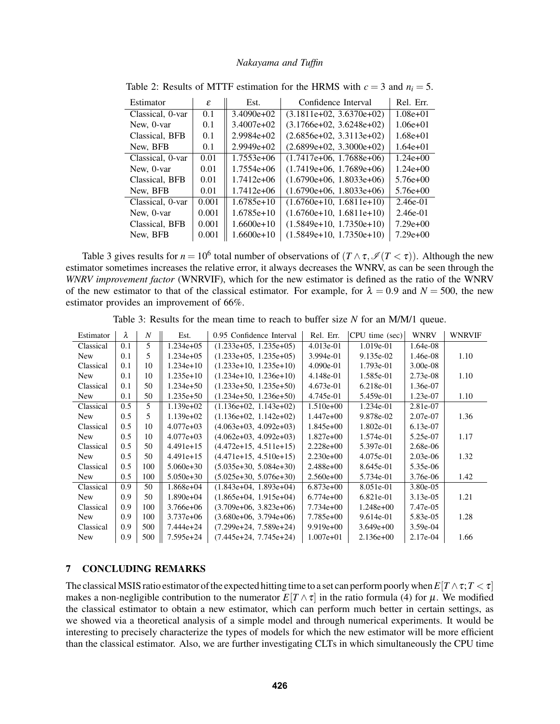| Estimator        | ε     | Est.         | Confidence Interval        | Rel. Err.    |
|------------------|-------|--------------|----------------------------|--------------|
| Classical, 0-var | 0.1   | $3.4090e+02$ | $(3.1811e+02, 3.6370e+02)$ | $1.08e+01$   |
| New, 0-var       | 0.1   | $3.4007e+02$ | $(3.1766e+02, 3.6248e+02)$ | $1.06e + 01$ |
| Classical, BFB   | 0.1   | $2.9984e+02$ | $(2.6856e+02, 3.3113e+02)$ | $1.68e+01$   |
| New, BFB         | 0.1   | $2.9949e+02$ | $(2.6899e+02, 3.3000e+02)$ | $1.64e+01$   |
| Classical, 0-var | 0.01  | $1.7553e+06$ | $(1.7417e+06, 1.7688e+06)$ | $1.24e+00$   |
| New, 0-var       | 0.01  | $1.7554e+06$ | $(1.7419e+06, 1.7689e+06)$ | $1.24e+00$   |
| Classical, BFB   | 0.01  | $1.7412e+06$ | $(1.6790e+06, 1.8033e+06)$ | $5.76e+00$   |
| New, BFB         | 0.01  | $1.7412e+06$ | $(1.6790e+06, 1.8033e+06)$ | $5.76e+00$   |
| Classical, 0-var | 0.001 | $1.6785e+10$ | $(1.6760e+10, 1.6811e+10)$ | $2.46e-01$   |
| New, 0-var       | 0.001 | $1.6785e+10$ | $(1.6760e+10, 1.6811e+10)$ | $2.46e-01$   |
| Classical, BFB   | 0.001 | $1.6600e+10$ | $(1.5849e+10, 1.7350e+10)$ | $7.29e+00$   |
| New, BFB         | 0.001 | $1.6600e+10$ | $(1.5849e+10, 1.7350e+10)$ | $7.29e+00$   |

<span id="page-10-1"></span>Table 2: Results of MTTF estimation for the HRMS with  $c = 3$  and  $n_i = 5$ .

Table [3](#page-10-2) gives results for  $n = 10^6$  total number of observations of  $(T \wedge \tau, \mathcal{I}(T < \tau))$ . Although the new estimator sometimes increases the relative error, it always decreases the WNRV, as can be seen through the *WNRV improvement factor* (WNRVIF), which for the new estimator is defined as the ratio of the WNRV of the new estimator to that of the classical estimator. For example, for  $\lambda = 0.9$  and  $N = 500$ , the new estimator provides an improvement of 66%.

| Estimator  | λ   | $\boldsymbol{N}$ | Est.          | 0.95 Confidence Interval | Rel. Err.     | CPU time (sec) | WNRV        | WNRVIF |
|------------|-----|------------------|---------------|--------------------------|---------------|----------------|-------------|--------|
|            |     |                  |               |                          |               |                |             |        |
| Classical  | 0.1 | 5                | 1.234e+05     | $(1.233e+05, 1.235e+05)$ | $4.013e-01$   | 1.019e-01      | 1.64e-08    |        |
| <b>New</b> | 0.1 | 5                | 1.234e+05     | $(1.233e+05, 1.235e+05)$ | 3.994e-01     | 9.135e-02      | 1.46e-08    | 1.10   |
| Classical  | 0.1 | 10               | $1.234e+10$   | $(1.233e+10. 1.235e+10)$ | 4.090e-01     | 1.793e-01      | $3.00e-08$  |        |
| <b>New</b> | 0.1 | 10               | $1.235e+10$   | $(1.234e+10, 1.236e+10)$ | 4.148e-01     | 1.585e-01      | $2.73e-08$  | 1.10   |
| Classical  | 0.1 | 50               | 1.234e+50     | $(1.233e+50, 1.235e+50)$ | $4.673e-01$   | 6.218e-01      | 1.36e-07    |        |
| <b>New</b> | 0.1 | 50               | $1.235e+50$   | $(1.234e+50, 1.236e+50)$ | 4.745e-01     | 5.459e-01      | 1.23e-07    | 1.10   |
| Classical  | 0.5 | 5                | $1.139e+02$   | $(1.136e+02, 1.143e+02)$ | $1.510e+00$   | 1.234e-01      | 2.81e-07    |        |
| <b>New</b> | 0.5 | 5                | $1.139e+02$   | $(1.136e+02, 1.142e+02)$ | $1.447e+00$   | 9.878e-02      | 2.07e-07    | 1.36   |
| Classical  | 0.5 | 10               | $4.077e+03$   | $(4.063e+03, 4.092e+03)$ | $1.845e+00$   | 1.802e-01      | $6.13e-07$  |        |
| <b>New</b> | 0.5 | 10               | $4.077e + 03$ | $(4.062e+03, 4.092e+03)$ | $1.827e+00$   | 1.574e-01      | 5.25e-07    | 1.17   |
| Classical  | 0.5 | 50               | $4.491e+15$   | $(4.472e+15, 4.511e+15)$ | $2.228e+00$   | 5.397e-01      | 2.68e-06    |        |
| <b>New</b> | 0.5 | 50               | $4.491e+15$   | $(4.471e+15, 4.510e+15)$ | $2.230e+00$   | 4.075e-01      | $2.03e-06$  | 1.32   |
| Classical  | 0.5 | 100              | $5.060e + 30$ | $(5.035e+30, 5.084e+30)$ | $2.488e+00$   | 8.645e-01      | 5.35e-06    |        |
| <b>New</b> | 0.5 | 100              | $5.050e + 30$ | $(5.025e+30, 5.076e+30)$ | $2.560e+00$   | 5.734e-01      | 3.76e-06    | 1.42   |
| Classical  | 0.9 | 50               | $1.868e+04$   | $(1.843e+04, 1.893e+04)$ | $6.873e+00$   | 8.051e-01      | 3.80e-05    |        |
| <b>New</b> | 0.9 | 50               | $1.890e+04$   | $(1.865e+04, 1.915e+04)$ | $6.774e+00$   | 6.821e-01      | $3.13e-0.5$ | 1.21   |
| Classical  | 0.9 | 100              | $3.766e+06$   | $(3.709e+06, 3.823e+06)$ | $7.734e+00$   | $1.248e+00$    | 7.47e-05    |        |
| <b>New</b> | 0.9 | 100              | $3.737e+06$   | $(3.680e+06, 3.794e+06)$ | 7.785e+00     | $9.614e-01$    | 5.83e-05    | 1.28   |
| Classical  | 0.9 | 500              | 7.444e+24     | $(7.299e+24, 7.589e+24)$ | $9.919e+00$   | $3.649e+00$    | $3.59e-04$  |        |
| <b>New</b> | 0.9 | 500              | 7.595e+24     | $(7.445e+24, 7.745e+24)$ | $1.007e + 01$ | $2.136e+00$    | 2.17e-04    | 1.66   |

<span id="page-10-2"></span>Table 3: Results for the mean time to reach to buffer size *N* for an M/M/1 queue.

# <span id="page-10-0"></span>7 CONCLUDING REMARKS

The classical MSIS ratio estimator of the expected hitting time to a set can perform poorly when  $E[T \wedge \tau; T < \tau]$ makes a non-negligible contribution to the numerator  $E[T \wedge \tau]$  in the ratio formula [\(4\)](#page-1-3) for  $\mu$ . We modified the classical estimator to obtain a new estimator, which can perform much better in certain settings, as we showed via a theoretical analysis of a simple model and through numerical experiments. It would be interesting to precisely characterize the types of models for which the new estimator will be more efficient than the classical estimator. Also, we are further investigating CLTs in which simultaneously the CPU time